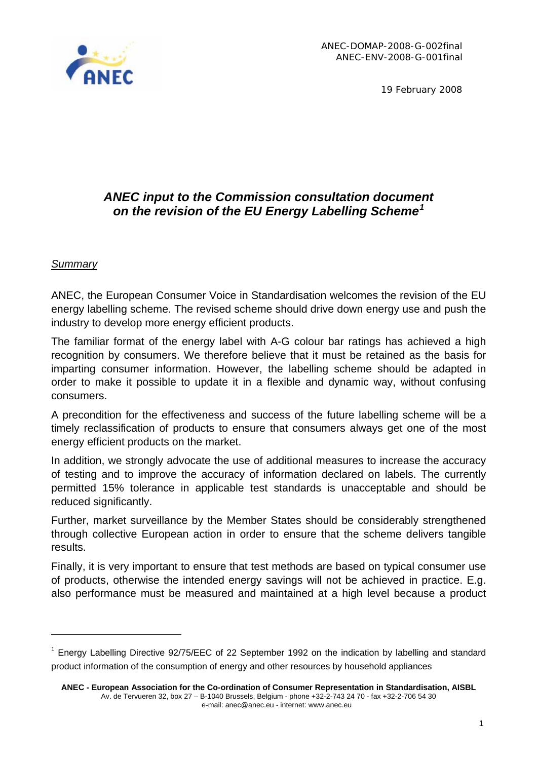

19 February 2008

# *ANEC input to the Commission consultation document on the revision of the EU Energy Labelling Scheme[1](#page-0-0)*

#### *Summary*

ANEC, the European Consumer Voice in Standardisation welcomes the revision of the EU energy labelling scheme. The revised scheme should drive down energy use and push the industry to develop more energy efficient products.

The familiar format of the energy label with A-G colour bar ratings has achieved a high recognition by consumers. We therefore believe that it must be retained as the basis for imparting consumer information. However, the labelling scheme should be adapted in order to make it possible to update it in a flexible and dynamic way, without confusing consumers.

A precondition for the effectiveness and success of the future labelling scheme will be a timely reclassification of products to ensure that consumers always get one of the most energy efficient products on the market.

In addition, we strongly advocate the use of additional measures to increase the accuracy of testing and to improve the accuracy of information declared on labels. The currently permitted 15% tolerance in applicable test standards is unacceptable and should be reduced significantly.

Further, market surveillance by the Member States should be considerably strengthened through collective European action in order to ensure that the scheme delivers tangible results.

Finally, it is very important to ensure that test methods are based on typical consumer use of products, otherwise the intended energy savings will not be achieved in practice. E.g. also performance must be measured and maintained at a high level because a product

<span id="page-0-0"></span><sup>&</sup>lt;sup>1</sup> Energy Labelling Directive 92/75/EEC of 22 September 1992 on the indication by labelling and standard product information of the consumption of energy and other resources by household appliances

**ANEC - European Association for the Co-ordination of Consumer Representation in Standardisation, AISBL**  Av. de Tervueren 32, box 27 – B-1040 Brussels, Belgium - phone +32-2-743 24 70 - fax +32-2-706 54 30 e-mail: anec@anec.eu - internet: www.anec.eu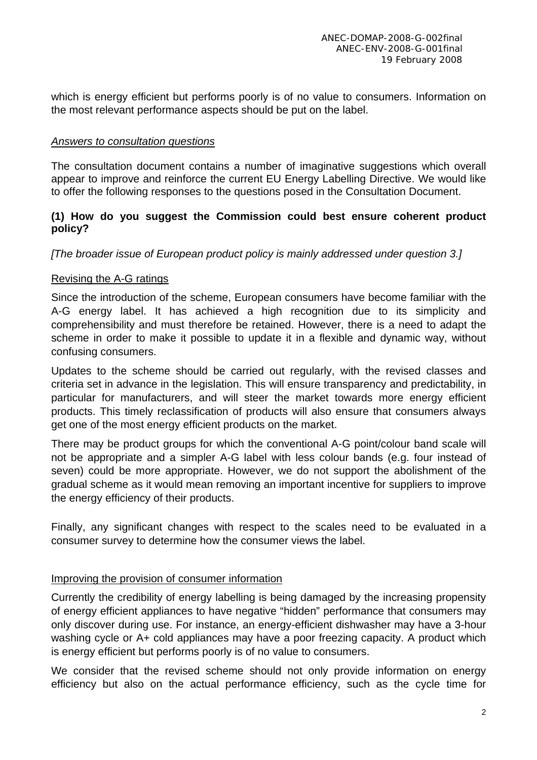which is energy efficient but performs poorly is of no value to consumers. Information on the most relevant performance aspects should be put on the label.

#### *Answers to consultation questions*

The consultation document contains a number of imaginative suggestions which overall appear to improve and reinforce the current EU Energy Labelling Directive. We would like to offer the following responses to the questions posed in the Consultation Document.

#### **(1) How do you suggest the Commission could best ensure coherent product policy?**

*[The broader issue of European product policy is mainly addressed under question 3.]* 

#### Revising the A-G ratings

Since the introduction of the scheme, European consumers have become familiar with the A-G energy label. It has achieved a high recognition due to its simplicity and comprehensibility and must therefore be retained. However, there is a need to adapt the scheme in order to make it possible to update it in a flexible and dynamic way, without confusing consumers.

Updates to the scheme should be carried out regularly, with the revised classes and criteria set in advance in the legislation. This will ensure transparency and predictability, in particular for manufacturers, and will steer the market towards more energy efficient products. This timely reclassification of products will also ensure that consumers always get one of the most energy efficient products on the market.

There may be product groups for which the conventional A-G point/colour band scale will not be appropriate and a simpler A-G label with less colour bands (e.g. four instead of seven) could be more appropriate. However, we do not support the abolishment of the gradual scheme as it would mean removing an important incentive for suppliers to improve the energy efficiency of their products.

Finally, any significant changes with respect to the scales need to be evaluated in a consumer survey to determine how the consumer views the label.

#### Improving the provision of consumer information

Currently the credibility of energy labelling is being damaged by the increasing propensity of energy efficient appliances to have negative "hidden" performance that consumers may only discover during use. For instance, an energy-efficient dishwasher may have a 3-hour washing cycle or A+ cold appliances may have a poor freezing capacity. A product which is energy efficient but performs poorly is of no value to consumers.

We consider that the revised scheme should not only provide information on energy efficiency but also on the actual performance efficiency, such as the cycle time for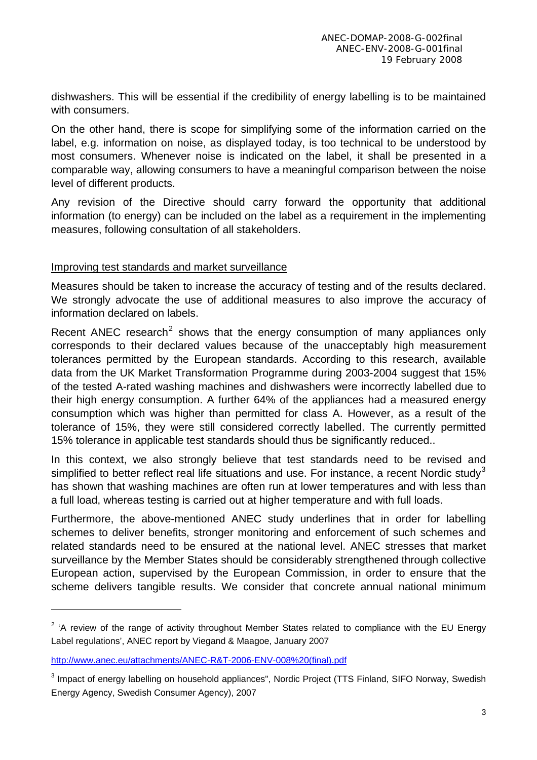dishwashers. This will be essential if the credibility of energy labelling is to be maintained with consumers.

On the other hand, there is scope for simplifying some of the information carried on the label, e.g. information on noise, as displayed today, is too technical to be understood by most consumers. Whenever noise is indicated on the label, it shall be presented in a comparable way, allowing consumers to have a meaningful comparison between the noise level of different products.

Any revision of the Directive should carry forward the opportunity that additional information (to energy) can be included on the label as a requirement in the implementing measures, following consultation of all stakeholders.

#### Improving test standards and market surveillance

Measures should be taken to increase the accuracy of testing and of the results declared. We strongly advocate the use of additional measures to also improve the accuracy of information declared on labels.

Recent ANEC research<sup>[2](#page-2-0)</sup> shows that the energy consumption of many appliances only corresponds to their declared values because of the unacceptably high measurement tolerances permitted by the European standards. According to this research, available data from the UK Market Transformation Programme during 2003-2004 suggest that 15% of the tested A-rated washing machines and dishwashers were incorrectly labelled due to their high energy consumption. A further 64% of the appliances had a measured energy consumption which was higher than permitted for class A. However, as a result of the tolerance of 15%, they were still considered correctly labelled. The currently permitted 15% tolerance in applicable test standards should thus be significantly reduced..

In this context, we also strongly believe that test standards need to be revised and simplified to better reflect real life situations and use. For instance, a recent Nordic study<sup>[3](#page-2-1)</sup> has shown that washing machines are often run at lower temperatures and with less than a full load, whereas testing is carried out at higher temperature and with full loads.

Furthermore, the above-mentioned ANEC study underlines that in order for labelling schemes to deliver benefits, stronger monitoring and enforcement of such schemes and related standards need to be ensured at the national level. ANEC stresses that market surveillance by the Member States should be considerably strengthened through collective European action, supervised by the European Commission, in order to ensure that the scheme delivers tangible results. We consider that concrete annual national minimum

 $\overline{a}$ 

<span id="page-2-0"></span> $2$  'A review of the range of activity throughout Member States related to compliance with the EU Energy Label regulations', ANEC report by Viegand & Maagoe, January 2007

[http://www.anec.eu/attachments/ANEC-R&T-2006-ENV-008%20\(final\).pdf](http://www.anec.eu/attachments/ANEC-R&T-2006-ENV-008%20(final).pdf)

<span id="page-2-1"></span><sup>&</sup>lt;sup>3</sup> Impact of energy labelling on household appliances", Nordic Project (TTS Finland, SIFO Norway, Swedish Energy Agency, Swedish Consumer Agency), 2007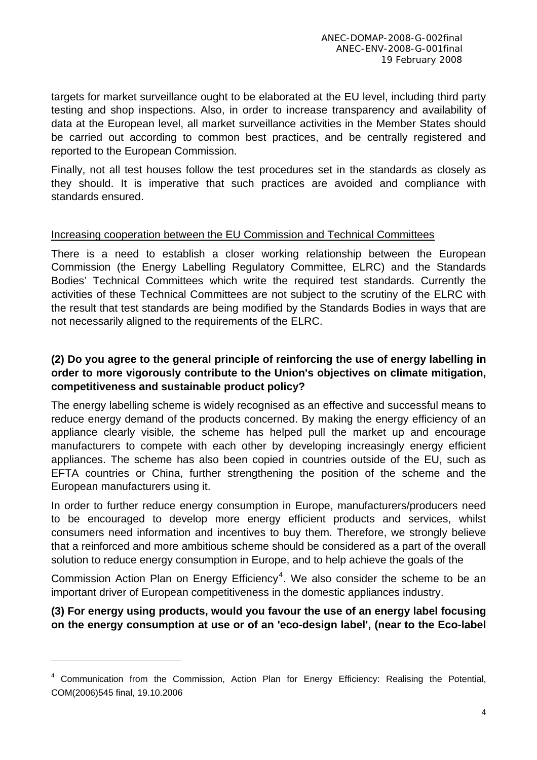targets for market surveillance ought to be elaborated at the EU level, including third party testing and shop inspections. Also, in order to increase transparency and availability of data at the European level, all market surveillance activities in the Member States should be carried out according to common best practices, and be centrally registered and reported to the European Commission.

Finally, not all test houses follow the test procedures set in the standards as closely as they should. It is imperative that such practices are avoided and compliance with standards ensured.

### Increasing cooperation between the EU Commission and Technical Committees

There is a need to establish a closer working relationship between the European Commission (the Energy Labelling Regulatory Committee, ELRC) and the Standards Bodies' Technical Committees which write the required test standards. Currently the activities of these Technical Committees are not subject to the scrutiny of the ELRC with the result that test standards are being modified by the Standards Bodies in ways that are not necessarily aligned to the requirements of the ELRC.

### **(2) Do you agree to the general principle of reinforcing the use of energy labelling in order to more vigorously contribute to the Union's objectives on climate mitigation, competitiveness and sustainable product policy?**

The energy labelling scheme is widely recognised as an effective and successful means to reduce energy demand of the products concerned. By making the energy efficiency of an appliance clearly visible, the scheme has helped pull the market up and encourage manufacturers to compete with each other by developing increasingly energy efficient appliances. The scheme has also been copied in countries outside of the EU, such as EFTA countries or China, further strengthening the position of the scheme and the European manufacturers using it.

In order to further reduce energy consumption in Europe, manufacturers/producers need to be encouraged to develop more energy efficient products and services, whilst consumers need information and incentives to buy them. Therefore, we strongly believe that a reinforced and more ambitious scheme should be considered as a part of the overall solution to reduce energy consumption in Europe, and to help achieve the goals of the

Commission Action Plan on Energy Efficiency<sup>[4](#page-3-0)</sup>. We also consider the scheme to be an important driver of European competitiveness in the domestic appliances industry.

### **(3) For energy using products, would you favour the use of an energy label focusing on the energy consumption at use or of an 'eco-design label', (near to the Eco-label**

<span id="page-3-0"></span><sup>&</sup>lt;sup>4</sup> Communication from the Commission, Action Plan for Energy Efficiency: Realising the Potential, COM(2006)545 final, 19.10.2006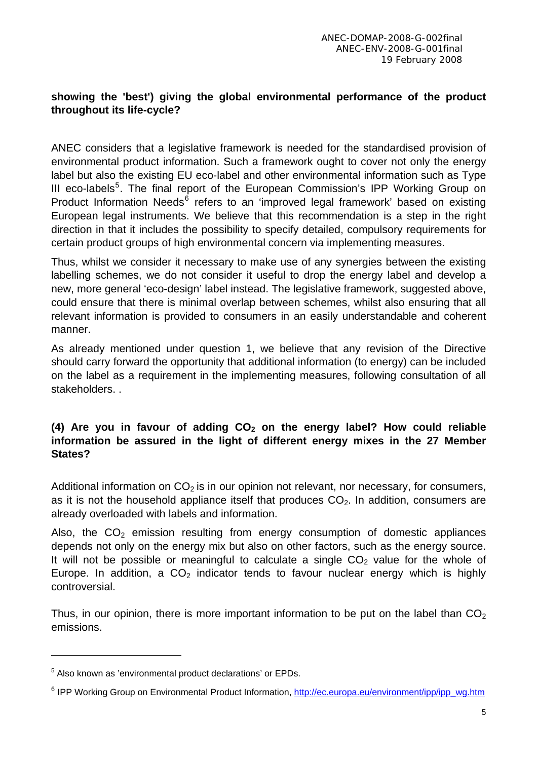### **showing the 'best') giving the global environmental performance of the product throughout its life-cycle?**

ANEC considers that a legislative framework is needed for the standardised provision of environmental product information. Such a framework ought to cover not only the energy label but also the existing EU eco-label and other environmental information such as Type III eco-labels<sup>[5](#page-4-0)</sup>. The final report of the European Commission's IPP Working Group on Product Information Needs<sup>[6](#page-4-1)</sup> refers to an 'improved legal framework' based on existing European legal instruments. We believe that this recommendation is a step in the right direction in that it includes the possibility to specify detailed, compulsory requirements for certain product groups of high environmental concern via implementing measures.

Thus, whilst we consider it necessary to make use of any synergies between the existing labelling schemes, we do not consider it useful to drop the energy label and develop a new, more general 'eco-design' label instead. The legislative framework, suggested above, could ensure that there is minimal overlap between schemes, whilst also ensuring that all relevant information is provided to consumers in an easily understandable and coherent manner.

As already mentioned under question 1, we believe that any revision of the Directive should carry forward the opportunity that additional information (to energy) can be included on the label as a requirement in the implementing measures, following consultation of all stakeholders. .

### (4) Are you in favour of adding CO<sub>2</sub> on the energy label? How could reliable **information be assured in the light of different energy mixes in the 27 Member States?**

Additional information on  $CO<sub>2</sub>$  is in our opinion not relevant, nor necessary, for consumers, as it is not the household appliance itself that produces  $CO<sub>2</sub>$ . In addition, consumers are already overloaded with labels and information.

Also, the  $CO<sub>2</sub>$  emission resulting from energy consumption of domestic appliances depends not only on the energy mix but also on other factors, such as the energy source. It will not be possible or meaningful to calculate a single  $CO<sub>2</sub>$  value for the whole of Europe. In addition, a  $CO<sub>2</sub>$  indicator tends to favour nuclear energy which is highly controversial.

Thus, in our opinion, there is more important information to be put on the label than  $CO<sub>2</sub>$ emissions.

<span id="page-4-0"></span><sup>&</sup>lt;sup>5</sup> Also known as 'environmental product declarations' or EPDs.

<span id="page-4-1"></span><sup>&</sup>lt;sup>6</sup> IPP Working Group on Environmental Product Information, [http://ec.europa.eu/environment/ipp/ipp\\_wg.htm](http://ec.europa.eu/environment/ipp/ipp_wg.htm)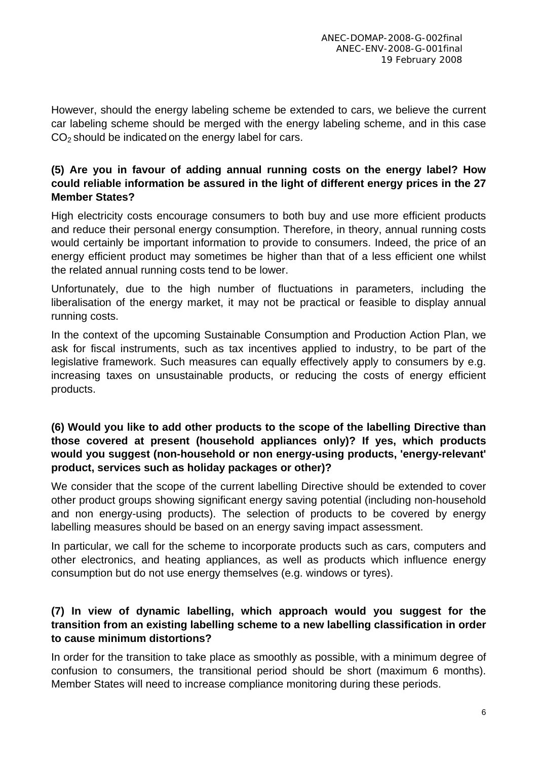However, should the energy labeling scheme be extended to cars, we believe the current car labeling scheme should be merged with the energy labeling scheme, and in this case  $CO<sub>2</sub>$  should be indicated on the energy label for cars.

#### **(5) Are you in favour of adding annual running costs on the energy label? How could reliable information be assured in the light of different energy prices in the 27 Member States?**

High electricity costs encourage consumers to both buy and use more efficient products and reduce their personal energy consumption. Therefore, in theory, annual running costs would certainly be important information to provide to consumers. Indeed, the price of an energy efficient product may sometimes be higher than that of a less efficient one whilst the related annual running costs tend to be lower.

Unfortunately, due to the high number of fluctuations in parameters, including the liberalisation of the energy market, it may not be practical or feasible to display annual running costs.

In the context of the upcoming Sustainable Consumption and Production Action Plan, we ask for fiscal instruments, such as tax incentives applied to industry, to be part of the legislative framework. Such measures can equally effectively apply to consumers by e.g. increasing taxes on unsustainable products, or reducing the costs of energy efficient products.

### **(6) Would you like to add other products to the scope of the labelling Directive than those covered at present (household appliances only)? If yes, which products would you suggest (non-household or non energy-using products, 'energy-relevant' product, services such as holiday packages or other)?**

We consider that the scope of the current labelling Directive should be extended to cover other product groups showing significant energy saving potential (including non-household and non energy-using products). The selection of products to be covered by energy labelling measures should be based on an energy saving impact assessment.

In particular, we call for the scheme to incorporate products such as cars, computers and other electronics, and heating appliances, as well as products which influence energy consumption but do not use energy themselves (e.g. windows or tyres).

### **(7) In view of dynamic labelling, which approach would you suggest for the transition from an existing labelling scheme to a new labelling classification in order to cause minimum distortions?**

In order for the transition to take place as smoothly as possible, with a minimum degree of confusion to consumers, the transitional period should be short (maximum 6 months). Member States will need to increase compliance monitoring during these periods.